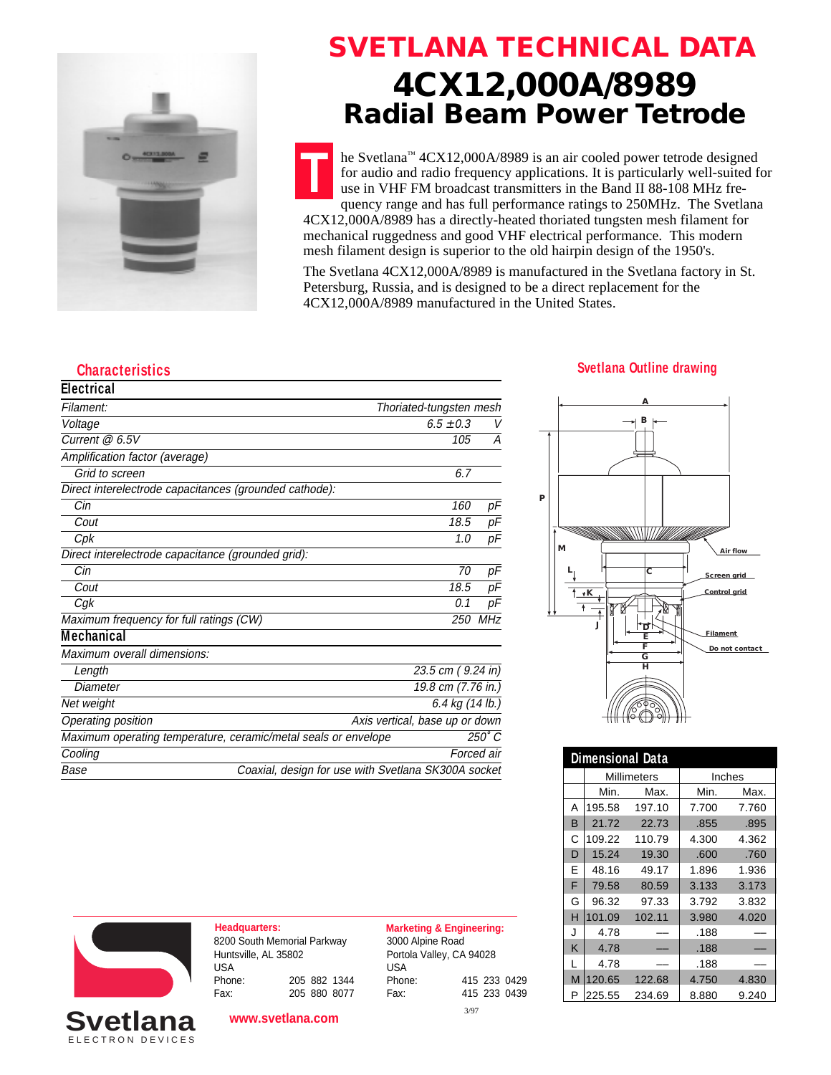

### **SVETLANA TECHNICAL DATA 4CX12,000A/8989 Radial Beam Power Tetrode**

**T** he Svetlana™ 4CX12,000A/8989 is an air cooled power tetrode designed for audio and radio frequency applications. It is particularly well-suited for use in VHF FM broadcast transmitters in the Band II 88-108 MHz frequency range and has full performance ratings to 250MHz. The Svetlana 4CX12,000A/8989 has a directly-heated thoriated tungsten mesh filament for mechanical ruggedness and good VHF electrical performance. This modern mesh filament design is superior to the old hairpin design of the 1950's.

The Svetlana 4CX12,000A/8989 is manufactured in the Svetlana factory in St. Petersburg, Russia, and is designed to be a direct replacement for the 4CX12,000A/8989 manufactured in the United States.

| <b>Electrical</b>                                              |                                |            |
|----------------------------------------------------------------|--------------------------------|------------|
| Filament:                                                      | Thoriated-tungsten mesh        |            |
| Voltage                                                        | $6.5 \pm 0.3$                  | V          |
| Current $@6.5V$                                                | 105                            | А          |
| Amplification factor (average)                                 |                                |            |
| Grid to screen                                                 | 6.7                            |            |
| Direct interelectrode capacitances (grounded cathode):         |                                |            |
| Cin                                                            | 160                            | рF         |
| Cout                                                           | 18.5                           | рF         |
| Cpk                                                            | 1.0                            | рF         |
| Direct interelectrode capacitance (grounded grid):             |                                |            |
| Cin                                                            | 70                             | рF         |
| Cout                                                           | 18.5                           | рF         |
| Cg <sub>k</sub>                                                | 0.1                            | рF         |
| Maximum frequency for full ratings (CW)                        | 250                            | <b>MHz</b> |
| <b>Mechanical</b>                                              |                                |            |
| Maximum overall dimensions:                                    |                                |            |
| Length                                                         | 23.5 cm (9.24 in)              |            |
| Diameter                                                       | 19.8 cm (7.76 in.)             |            |
| Net weight                                                     | 6.4 kg (14 lb.)                |            |
| Operating position                                             | Axis vertical, base up or down |            |
| Maximum operating temperature, ceramic/metal seals or envelope |                                | 250° C     |
| Cooling                                                        |                                | Forced air |

Base **Coaxial, design for use with Svetlana SK300A socket** 

# **Characteristics Svetlana Outline drawing**



| <b>Dimensional Data</b> |        |             |        |       |  |  |
|-------------------------|--------|-------------|--------|-------|--|--|
|                         |        | Millimeters | Inches |       |  |  |
|                         | Min.   | Max.        | Min.   | Max.  |  |  |
| А                       | 195.58 | 197.10      | 7.700  | 7.760 |  |  |
| B                       | 21.72  | 22.73       | .855   | .895  |  |  |
| Ć                       | 109.22 | 110.79      | 4.300  | 4.362 |  |  |
| D                       | 15.24  | 19.30       | .600   | .760  |  |  |
| E                       | 48.16  | 49.17       | 1.896  | 1.936 |  |  |
| F                       | 79.58  | 80.59       | 3.133  | 3.173 |  |  |
| G                       | 96.32  | 97.33       | 3.792  | 3.832 |  |  |
| н                       | 101.09 | 102.11      | 3.980  | 4.020 |  |  |
| J                       | 4.78   |             | .188   |       |  |  |
| K                       | 4.78   |             | .188   |       |  |  |
| L                       | 4.78   |             | .188   |       |  |  |
| M                       | 120.65 | 122.68      | 4.750  | 4.830 |  |  |
| P                       | 225.55 | 234.69      | 8.880  | 9.240 |  |  |



ELECTRON DEVICES **Svetlar** 

**Headquarters: Marketing & Engineering:** 8200 South Memorial Parkway Huntsville, AL 35802 USA<br>Phone: Phone: 205 882 1344 Fax: 205 880 8077

**www.svetlana.com**

3000 Alpine Road Portola Valley, CA 94028 USA Phone: 415 233 0429 Fax: 415 233 0439